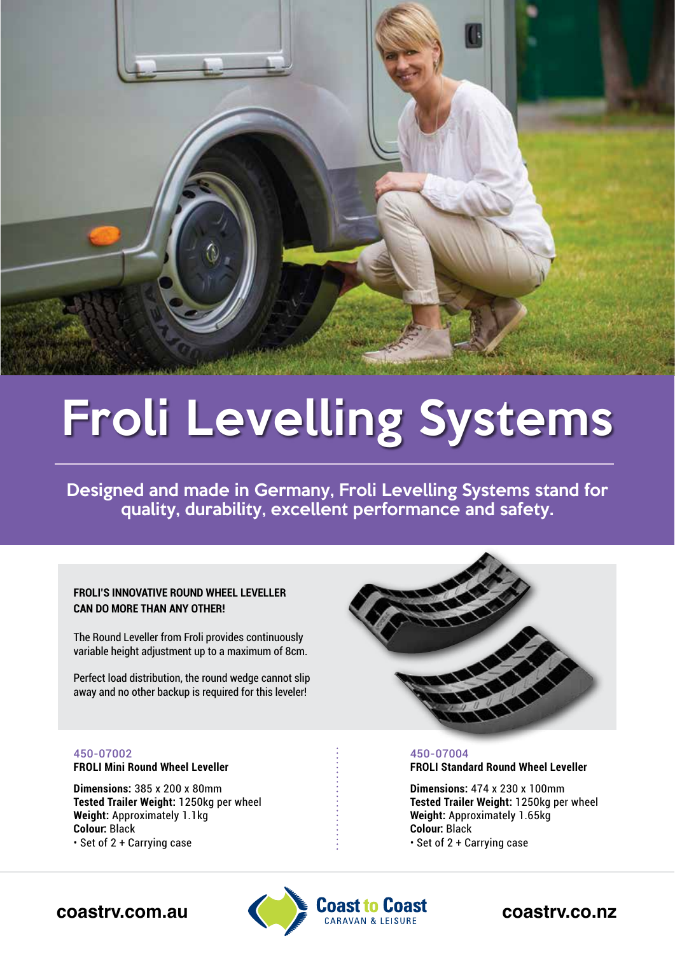

# Froli Levelling Systems

Designed and made in Germany, Froli Levelling Systems stand for quality, durability, excellent performance and safety.

# **FROLI'S INNOVATIVE ROUND WHEEL LEVELLER CAN DO MORE THAN ANY OTHER!**

The Round Leveller from Froli provides continuously variable height adjustment up to a maximum of 8cm.

Perfect load distribution, the round wedge cannot slip away and no other backup is required for this leveler!



# 450-07002

**FROLI Mini Round Wheel Leveller**

**Dimensions:** 385 x 200 x 80mm **Tested Trailer Weight:** 1250kg per wheel **Weight:** Approximately 1.1kg **Colour:** Black • Set of 2 + Carrying case

# 450-07004 **FROLI Standard Round Wheel Leveller**

**Dimensions:** 474 x 230 x 100mm **Tested Trailer Weight:** 1250kg per wheel **Weight:** Approximately 1.65kg **Colour:** Black • Set of 2 + Carrying case